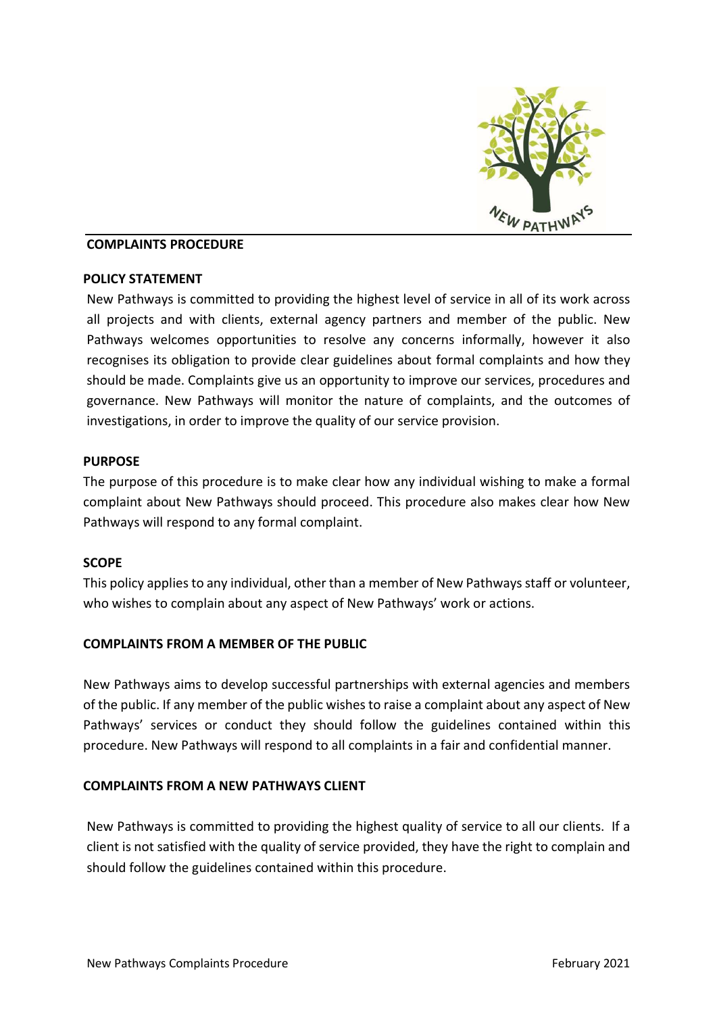

#### COMPLAINTS PROCEDURE

#### POLICY STATEMENT

New Pathways is committed to providing the highest level of service in all of its work across all projects and with clients, external agency partners and member of the public. New Pathways welcomes opportunities to resolve any concerns informally, however it also recognises its obligation to provide clear guidelines about formal complaints and how they should be made. Complaints give us an opportunity to improve our services, procedures and governance. New Pathways will monitor the nature of complaints, and the outcomes of investigations, in order to improve the quality of our service provision.

#### **PURPOSE**

The purpose of this procedure is to make clear how any individual wishing to make a formal complaint about New Pathways should proceed. This procedure also makes clear how New Pathways will respond to any formal complaint.

## **SCOPE**

This policy applies to any individual, other than a member of New Pathways staff or volunteer, who wishes to complain about any aspect of New Pathways' work or actions.

## COMPLAINTS FROM A MEMBER OF THE PUBLIC

New Pathways aims to develop successful partnerships with external agencies and members of the public. If any member of the public wishes to raise a complaint about any aspect of New Pathways' services or conduct they should follow the guidelines contained within this procedure. New Pathways will respond to all complaints in a fair and confidential manner.

## COMPLAINTS FROM A NEW PATHWAYS CLIENT

New Pathways is committed to providing the highest quality of service to all our clients. If a client is not satisfied with the quality of service provided, they have the right to complain and should follow the guidelines contained within this procedure.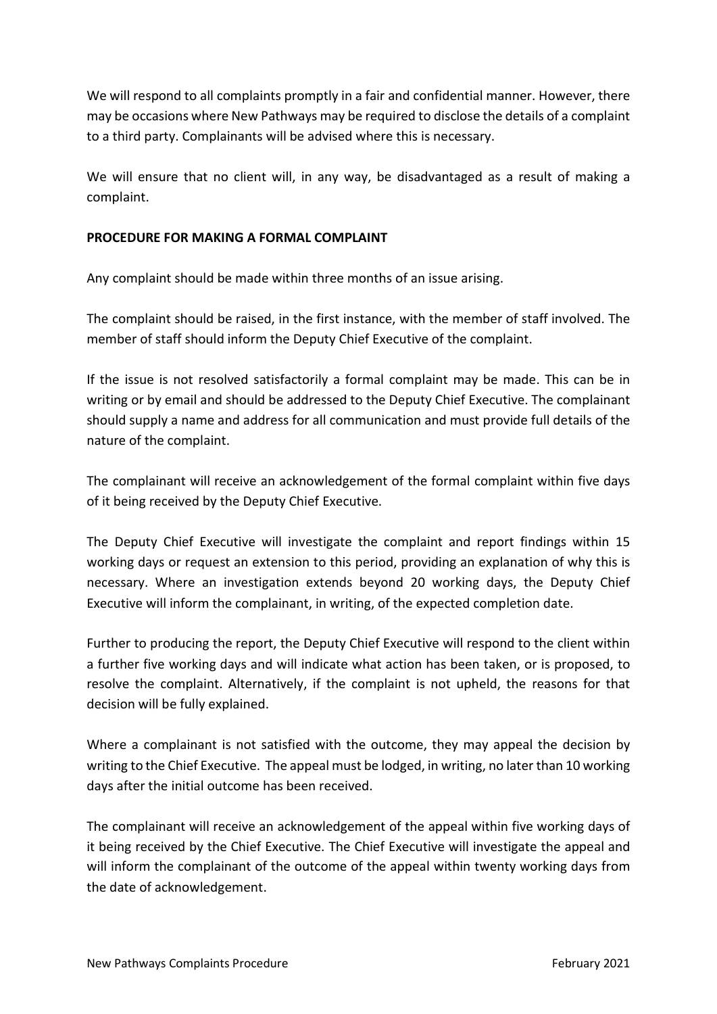We will respond to all complaints promptly in a fair and confidential manner. However, there may be occasions where New Pathways may be required to disclose the details of a complaint to a third party. Complainants will be advised where this is necessary.

We will ensure that no client will, in any way, be disadvantaged as a result of making a complaint.

# PROCEDURE FOR MAKING A FORMAL COMPLAINT

Any complaint should be made within three months of an issue arising.

The complaint should be raised, in the first instance, with the member of staff involved. The member of staff should inform the Deputy Chief Executive of the complaint.

If the issue is not resolved satisfactorily a formal complaint may be made. This can be in writing or by email and should be addressed to the Deputy Chief Executive. The complainant should supply a name and address for all communication and must provide full details of the nature of the complaint.

The complainant will receive an acknowledgement of the formal complaint within five days of it being received by the Deputy Chief Executive.

The Deputy Chief Executive will investigate the complaint and report findings within 15 working days or request an extension to this period, providing an explanation of why this is necessary. Where an investigation extends beyond 20 working days, the Deputy Chief Executive will inform the complainant, in writing, of the expected completion date.

Further to producing the report, the Deputy Chief Executive will respond to the client within a further five working days and will indicate what action has been taken, or is proposed, to resolve the complaint. Alternatively, if the complaint is not upheld, the reasons for that decision will be fully explained.

Where a complainant is not satisfied with the outcome, they may appeal the decision by writing to the Chief Executive. The appeal must be lodged, in writing, no later than 10 working days after the initial outcome has been received.

The complainant will receive an acknowledgement of the appeal within five working days of it being received by the Chief Executive. The Chief Executive will investigate the appeal and will inform the complainant of the outcome of the appeal within twenty working days from the date of acknowledgement.